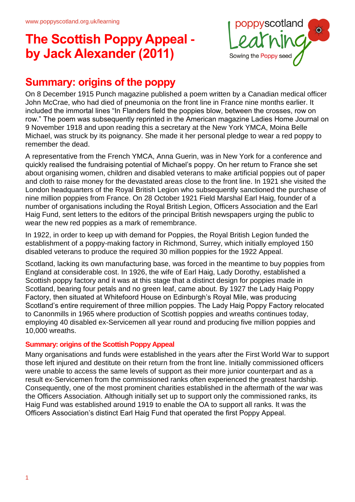

#### **Summary: origins of the poppy**

On 8 December 1915 Punch magazine published a poem written by a Canadian medical officer John McCrae, who had died of pneumonia on the front line in France nine months earlier. It included the immortal lines "In Flanders field the poppies blow, between the crosses, row on row." The poem was subsequently reprinted in the American magazine Ladies Home Journal on 9 November 1918 and upon reading this a secretary at the New York YMCA, Moina Belle Michael, was struck by its poignancy. She made it her personal pledge to wear a red poppy to remember the dead.

A representative from the French YMCA, Anna Guerin, was in New York for a conference and quickly realised the fundraising potential of Michael's poppy. On her return to France she set about organising women, children and disabled veterans to make artificial poppies out of paper and cloth to raise money for the devastated areas close to the front line. In 1921 she visited the London headquarters of the Royal British Legion who subsequently sanctioned the purchase of nine million poppies from France. On 28 October 1921 Field Marshal Earl Haig, founder of a number of organisations including the Royal British Legion, Officers Association and the Earl Haig Fund, sent letters to the editors of the principal British newspapers urging the public to wear the new red poppies as a mark of remembrance.

In 1922, in order to keep up with demand for Poppies, the Royal British Legion funded the establishment of a poppy-making factory in Richmond, Surrey, which initially employed 150 disabled veterans to produce the required 30 million poppies for the 1922 Appeal.

Scotland, lacking its own manufacturing base, was forced in the meantime to buy poppies from England at considerable cost. In 1926, the wife of Earl Haig, Lady Dorothy, established a Scottish poppy factory and it was at this stage that a distinct design for poppies made in Scotland, bearing four petals and no green leaf, came about. By 1927 the Lady Haig Poppy Factory, then situated at Whitefoord House on Edinburgh's Royal Mile, was producing Scotland's entire requirement of three million poppies. The Lady Haig Poppy Factory relocated to Canonmills in 1965 where production of Scottish poppies and wreaths continues today, employing 40 disabled ex-Servicemen all year round and producing five million poppies and 10,000 wreaths.

#### **Summary: origins of the Scottish Poppy Appeal**

Many organisations and funds were established in the years after the First World War to support those left injured and destitute on their return from the front line. Initially commissioned officers were unable to access the same levels of support as their more junior counterpart and as a result ex-Servicemen from the commissioned ranks often experienced the greatest hardship. Consequently, one of the most prominent charities established in the aftermath of the war was the Officers Association. Although initially set up to support only the commissioned ranks, its Haig Fund was established around 1919 to enable the OA to support all ranks. It was the Officers Association's distinct Earl Haig Fund that operated the first Poppy Appeal.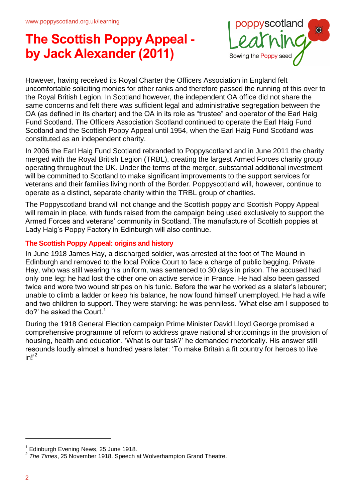

However, having received its Royal Charter the Officers Association in England felt uncomfortable soliciting monies for other ranks and therefore passed the running of this over to the Royal British Legion. In Scotland however, the independent OA office did not share the same concerns and felt there was sufficient legal and administrative segregation between the OA (as defined in its charter) and the OA in its role as "trustee" and operator of the Earl Haig Fund Scotland. The Officers Association Scotland continued to operate the Earl Haig Fund Scotland and the Scottish Poppy Appeal until 1954, when the Earl Haig Fund Scotland was constituted as an independent charity.

In 2006 the Earl Haig Fund Scotland rebranded to Poppyscotland and in June 2011 the charity merged with the Royal British Legion (TRBL), creating the largest Armed Forces charity group operating throughout the UK. Under the terms of the merger, substantial additional investment will be committed to Scotland to make significant improvements to the support services for veterans and their families living north of the Border. Poppyscotland will, however, continue to operate as a distinct, separate charity within the TRBL group of charities.

The Poppyscotland brand will not change and the Scottish poppy and Scottish Poppy Appeal will remain in place, with funds raised from the campaign being used exclusively to support the Armed Forces and veterans' community in Scotland. The manufacture of Scottish poppies at Lady Haig's Poppy Factory in Edinburgh will also continue.

#### **The Scottish Poppy Appeal: origins and history**

In June 1918 James Hay, a discharged soldier, was arrested at the foot of The Mound in Edinburgh and removed to the local Police Court to face a charge of public begging. Private Hay, who was still wearing his uniform, was sentenced to 30 days in prison. The accused had only one leg: he had lost the other one on active service in France. He had also been gassed twice and wore two wound stripes on his tunic. Before the war he worked as a slater's labourer; unable to climb a ladder or keep his balance, he now found himself unemployed. He had a wife and two children to support. They were starving: he was penniless. 'What else am I supposed to  $do$ ?' he asked the Court.<sup>1</sup>

During the 1918 General Election campaign Prime Minister David Lloyd George promised a comprehensive programme of reform to address grave national shortcomings in the provision of housing, health and education. 'What is our task?' he demanded rhetorically. His answer still resounds loudly almost a hundred years later: 'To make Britain a fit country for heroes to live  $in!^2$ 

<sup>&</sup>lt;sup>1</sup> Edinburgh Evening News, 25 June 1918.

<sup>2</sup> *The Times*, 25 November 1918. Speech at Wolverhampton Grand Theatre.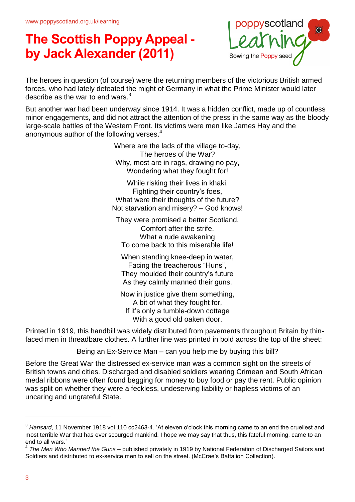

The heroes in question (of course) were the returning members of the victorious British armed forces, who had lately defeated the might of Germany in what the Prime Minister would later describe as the war to end wars.<sup>3</sup>

But another war had been underway since 1914. It was a hidden conflict, made up of countless minor engagements, and did not attract the attention of the press in the same way as the bloody large-scale battles of the Western Front. Its victims were men like James Hay and the anonymous author of the following verses.<sup>4</sup>

> Where are the lads of the village to-day, The heroes of the War? Why, most are in rags, drawing no pay, Wondering what they fought for!

While risking their lives in khaki, Fighting their country's foes, What were their thoughts of the future? Not starvation and misery? – God knows!

They were promised a better Scotland, Comfort after the strife. What a rude awakening To come back to this miserable life!

When standing knee-deep in water, Facing the treacherous "Huns", They moulded their country's future As they calmly manned their guns.

Now in justice give them something, A bit of what they fought for, If it's only a tumble-down cottage With a good old oaken door.

Printed in 1919, this handbill was widely distributed from pavements throughout Britain by thinfaced men in threadbare clothes. A further line was printed in bold across the top of the sheet:

Being an Ex-Service Man – can you help me by buying this bill?

Before the Great War the distressed ex-service man was a common sight on the streets of British towns and cities. Discharged and disabled soldiers wearing Crimean and South African medal ribbons were often found begging for money to buy food or pay the rent. Public opinion was split on whether they were a feckless, undeserving liability or hapless victims of an uncaring and ungrateful State.

<sup>3</sup> *Hansard*, 11 November 1918 vol 110 cc2463-4. 'At eleven o'clock this morning came to an end the cruellest and most terrible War that has ever scourged mankind. I hope we may say that thus, this fateful morning, came to an end to all wars.'

<sup>4</sup> *The Men Who Manned the Guns* – published privately in 1919 by National Federation of Discharged Sailors and Soldiers and distributed to ex-service men to sell on the street. (McCrae's Battalion Collection).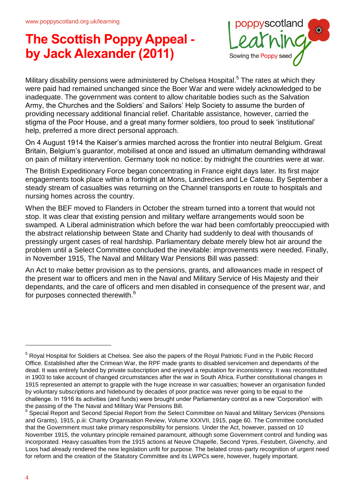

Military disability pensions were administered by Chelsea Hospital.<sup>5</sup> The rates at which they were paid had remained unchanged since the Boer War and were widely acknowledged to be inadequate. The government was content to allow charitable bodies such as the Salvation Army, the Churches and the Soldiers' and Sailors' Help Society to assume the burden of providing necessary additional financial relief. Charitable assistance, however, carried the stigma of the Poor House, and a great many former soldiers, too proud to seek 'institutional' help, preferred a more direct personal approach.

On 4 August 1914 the Kaiser's armies marched across the frontier into neutral Belgium. Great Britain, Belgium's guarantor, mobilised at once and issued an ultimatum demanding withdrawal on pain of military intervention. Germany took no notice: by midnight the countries were at war.

The British Expeditionary Force began concentrating in France eight days later. Its first major engagements took place within a fortnight at Mons, Landrecies and Le Cateau. By September a steady stream of casualties was returning on the Channel transports en route to hospitals and nursing homes across the country.

When the BEF moved to Flanders in October the stream turned into a torrent that would not stop. It was clear that existing pension and military welfare arrangements would soon be swamped. A Liberal administration which before the war had been comfortably preoccupied with the abstract relationship between State and Charity had suddenly to deal with thousands of pressingly urgent cases of real hardship. Parliamentary debate merely blew hot air around the problem until a Select Committee concluded the inevitable: improvements were needed. Finally, in November 1915, The Naval and Military War Pensions Bill was passed:

An Act to make better provision as to the pensions, grants, and allowances made in respect of the present war to officers and men in the Naval and Military Service of His Majesty and their dependants, and the care of officers and men disabled in consequence of the present war, and for purposes connected therewith.<sup>6</sup>

<sup>5</sup> Royal Hospital for Soldiers at Chelsea. See also the papers of the Royal Patriotic Fund in the Public Record Office. Established after the Crimean War, the RPF made grants to disabled servicemen and dependants of the dead. It was entirely funded by private subscription and enjoyed a reputation for inconsistency. It was reconstituted in 1903 to take account of changed circumstances after the war in South Africa. Further constitutional changes in 1915 represented an attempt to grapple with the huge increase in war casualties; however an organisation funded by voluntary subscriptions and hidebound by decades of poor practice was never going to be equal to the challenge. In 1916 its activities (and funds) were brought under Parliamentary control as a new 'Corporation' with the passing of the The Naval and Military War Pensions Bill.

<sup>&</sup>lt;sup>6</sup> Special Report and Second Special Report from the Select Committee on Naval and Military Services (Pensions and Grants), 1915, p.iii: Charity Organisation Review, Volume XXXVII, 1915, page 60. The Committee concluded that the Government must take primary responsibility for pensions. Under the Act, however, passed on 10 November 1915, the voluntary principle remained paramount, although some Government control and funding was incorporated. Heavy casualties from the 1915 actions at Neuve Chapelle, Second Ypres, Festubert, Givenchy, and Loos had already rendered the new legislation unfit for purpose. The belated cross-party recognition of urgent need for reform and the creation of the Statutory Committee and its LWPCs were, however, hugely important.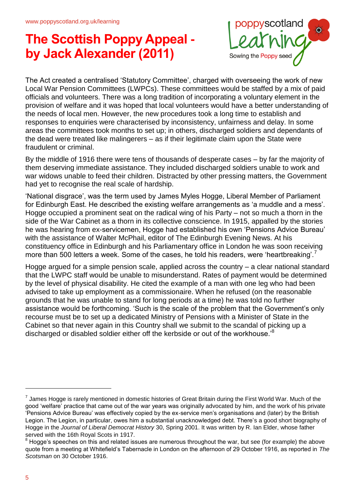

The Act created a centralised 'Statutory Committee', charged with overseeing the work of new Local War Pension Committees (LWPCs). These committees would be staffed by a mix of paid officials and volunteers. There was a long tradition of incorporating a voluntary element in the provision of welfare and it was hoped that local volunteers would have a better understanding of the needs of local men. However, the new procedures took a long time to establish and responses to enquiries were characterised by inconsistency, unfairness and delay. In some areas the committees took months to set up; in others, discharged soldiers and dependants of the dead were treated like malingerers – as if their legitimate claim upon the State were fraudulent or criminal.

By the middle of 1916 there were tens of thousands of desperate cases – by far the majority of them deserving immediate assistance. They included discharged soldiers unable to work and war widows unable to feed their children. Distracted by other pressing matters, the Government had yet to recognise the real scale of hardship.

'National disgrace', was the term used by James Myles Hogge, Liberal Member of Parliament for Edinburgh East. He described the existing welfare arrangements as 'a muddle and a mess'. Hogge occupied a prominent seat on the radical wing of his Party – not so much a thorn in the side of the War Cabinet as a thorn in its collective conscience. In 1915, appalled by the stories he was hearing from ex-servicemen, Hogge had established his own 'Pensions Advice Bureau' with the assistance of Walter McPhail, editor of The Edinburgh Evening News. At his constituency office in Edinburgh and his Parliamentary office in London he was soon receiving more than 500 letters a week. Some of the cases, he told his readers, were 'heartbreaking'.<sup>7</sup>

Hogge argued for a simple pension scale, applied across the country – a clear national standard that the LWPC staff would be unable to misunderstand. Rates of payment would be determined by the level of physical disability. He cited the example of a man with one leg who had been advised to take up employment as a commissionaire. When he refused (on the reasonable grounds that he was unable to stand for long periods at a time) he was told no further assistance would be forthcoming. 'Such is the scale of the problem that the Government's only recourse must be to set up a dedicated Ministry of Pensions with a Minister of State in the Cabinet so that never again in this Country shall we submit to the scandal of picking up a discharged or disabled soldier either off the kerbside or out of the workhouse.<sup>8</sup>

 $^7$  James Hogge is rarely mentioned in domestic histories of Great Britain during the First World War. Much of the good 'welfare' practice that came out of the war years was originally advocated by him, and the work of his private 'Pensions Advice Bureau' was effectively copied by the ex-service men's organisations and (later) by the British Legion. The Legion, in particular, owes him a substantial unacknowledged debt. There's a good short biography of Hogge in the *Journal of Liberal Democrat History* 30, Spring 2001. It was written by R. Ian Elder, whose father served with the 16th Royal Scots in 1917.

<sup>&</sup>lt;sup>8</sup> Hogge's speeches on this and related issues are numerous throughout the war, but see (for example) the above quote from a meeting at Whitefield's Tabernacle in London on the afternoon of 29 October 1916, as reported in *The Scotsman* on 30 October 1916.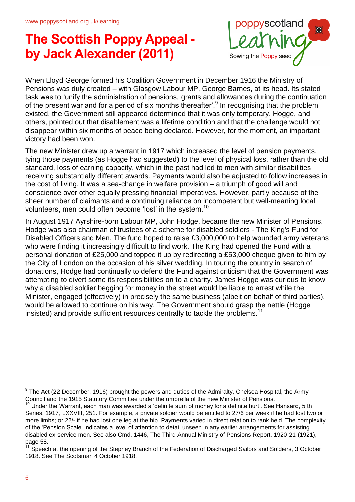

When Lloyd George formed his Coalition Government in December 1916 the Ministry of Pensions was duly created – with Glasgow Labour MP, George Barnes, at its head. Its stated task was to 'unify the administration of pensions, grants and allowances during the continuation of the present war and for a period of six months thereafter'.<sup>9</sup> In recognising that the problem existed, the Government still appeared determined that it was only temporary. Hogge, and others, pointed out that disablement was a lifetime condition and that the challenge would not disappear within six months of peace being declared. However, for the moment, an important victory had been won.

The new Minister drew up a warrant in 1917 which increased the level of pension payments, tying those payments (as Hogge had suggested) to the level of physical loss, rather than the old standard, loss of earning capacity, which in the past had led to men with similar disabilities receiving substantially different awards. Payments would also be adjusted to follow increases in the cost of living. It was a sea-change in welfare provision – a triumph of good will and conscience over other equally pressing financial imperatives. However, partly because of the sheer number of claimants and a continuing reliance on incompetent but well-meaning local volunteers, men could often become 'lost' in the system.<sup>10</sup>

In August 1917 Ayrshire-born Labour MP, John Hodge, became the new Minister of Pensions. Hodge was also chairman of trustees of a scheme for disabled soldiers - The King's Fund for Disabled Officers and Men. The fund hoped to raise £3,000,000 to help wounded army veterans who were finding it increasingly difficult to find work. The King had opened the Fund with a personal donation of £25,000 and topped it up by redirecting a £53,000 cheque given to him by the City of London on the occasion of his silver wedding. In touring the country in search of donations, Hodge had continually to defend the Fund against criticism that the Government was attempting to divert some its responsibilities on to a charity. James Hogge was curious to know why a disabled soldier begging for money in the street would be liable to arrest while the Minister, engaged (effectively) in precisely the same business (albeit on behalf of third parties), would be allowed to continue on his way. The Government should grasp the nettle (Hogge insisted) and provide sufficient resources centrally to tackle the problems.<sup>11</sup>

 $^9$  The Act (22 December, 1916) brought the powers and duties of the Admiralty, Chelsea Hospital, the Army Council and the 1915 Statutory Committee under the umbrella of the new Minister of Pensions.

 $10$  Under the Warrant, each man was awarded a 'definite sum of money for a definite hurt'. See Hansard, 5 th Series, 1917, LXXVIII, 251. For example, a private soldier would be entitled to 27/6 per week if he had lost two or more limbs; or 22/- if he had lost one leg at the hip. Payments varied in direct relation to rank held. The complexity of the 'Pension Scale' indicates a level of attention to detail unseen in any earlier arrangements for assisting disabled ex-service men. See also Cmd. 1446, The Third Annual Ministry of Pensions Report, 1920-21 (1921), page 58.

<sup>&</sup>lt;sup>11</sup> Speech at the opening of the Stepney Branch of the Federation of Discharged Sailors and Soldiers, 3 October 1918. See The Scotsman 4 October 1918.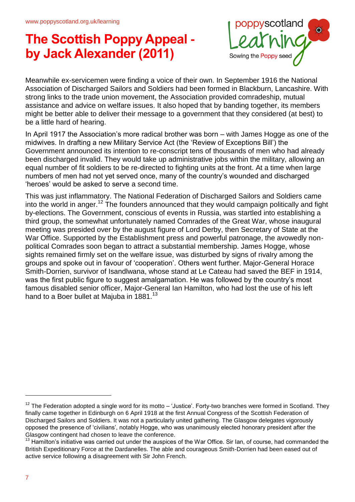

Meanwhile ex-servicemen were finding a voice of their own. In September 1916 the National Association of Discharged Sailors and Soldiers had been formed in Blackburn, Lancashire. With strong links to the trade union movement, the Association provided comradeship, mutual assistance and advice on welfare issues. It also hoped that by banding together, its members might be better able to deliver their message to a government that they considered (at best) to be a little hard of hearing.

In April 1917 the Association's more radical brother was born – with James Hogge as one of the midwives. In drafting a new Military Service Act (the 'Review of Exceptions Bill') the Government announced its intention to re-conscript tens of thousands of men who had already been discharged invalid. They would take up administrative jobs within the military, allowing an equal number of fit soldiers to be re-directed to fighting units at the front. At a time when large numbers of men had not yet served once, many of the country's wounded and discharged 'heroes' would be asked to serve a second time.

This was just inflammatory. The National Federation of Discharged Sailors and Soldiers came into the world in anger.<sup>12</sup> The founders announced that they would campaign politically and fight by-elections. The Government, conscious of events in Russia, was startled into establishing a third group, the somewhat unfortunately named Comrades of the Great War, whose inaugural meeting was presided over by the august figure of Lord Derby, then Secretary of State at the War Office. Supported by the Establishment press and powerful patronage, the avowedly nonpolitical Comrades soon began to attract a substantial membership. James Hogge, whose sights remained firmly set on the welfare issue, was disturbed by signs of rivalry among the groups and spoke out in favour of 'cooperation'. Others went further. Major-General Horace Smith-Dorrien, survivor of Isandlwana, whose stand at Le Cateau had saved the BEF in 1914, was the first public figure to suggest amalgamation. He was followed by the country's most famous disabled senior officer, Major-General Ian Hamilton, who had lost the use of his left hand to a Boer bullet at Majuba in 1881.<sup>13</sup>

 $12$  The Federation adopted a single word for its motto  $-$  'Justice'. Forty-two branches were formed in Scotland. They finally came together in Edinburgh on 6 April 1918 at the first Annual Congress of the Scottish Federation of Discharged Sailors and Soldiers. It was not a particularly united gathering. The Glasgow delegates vigorously opposed the presence of 'civilians', notably Hogge, who was unanimously elected honorary president after the Glasgow contingent had chosen to leave the conference.

<sup>&</sup>lt;sup>13</sup> Hamilton's initiative was carried out under the auspices of the War Office. Sir Ian, of course, had commanded the British Expeditionary Force at the Dardanelles. The able and courageous Smith-Dorrien had been eased out of active service following a disagreement with Sir John French.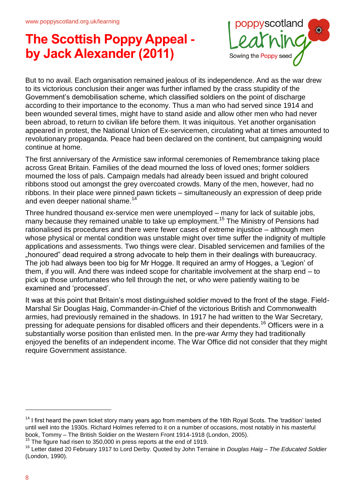

But to no avail. Each organisation remained jealous of its independence. And as the war drew to its victorious conclusion their anger was further inflamed by the crass stupidity of the Government's demobilisation scheme, which classified soldiers on the point of discharge according to their importance to the economy. Thus a man who had served since 1914 and been wounded several times, might have to stand aside and allow other men who had never been abroad, to return to civilian life before them. It was iniquitous. Yet another organisation appeared in protest, the National Union of Ex-servicemen, circulating what at times amounted to revolutionary propaganda. Peace had been declared on the continent, but campaigning would continue at home.

The first anniversary of the Armistice saw informal ceremonies of Remembrance taking place across Great Britain. Families of the dead mourned the loss of loved ones; former soldiers mourned the loss of pals. Campaign medals had already been issued and bright coloured ribbons stood out amongst the grey overcoated crowds. Many of the men, however, had no ribbons. In their place were pinned pawn tickets – simultaneously an expression of deep pride and even deeper national shame.<sup>14</sup>

Three hundred thousand ex-service men were unemployed – many for lack of suitable jobs, many because they remained unable to take up employment.<sup>15</sup> The Ministry of Pensions had rationalised its procedures and there were fewer cases of extreme injustice – although men whose physical or mental condition was unstable might over time suffer the indignity of multiple applications and assessments. Two things were clear. Disabled servicemen and families of the "honoured" dead required a strong advocate to help them in their dealings with bureaucracy. The job had always been too big for Mr Hogge. It required an army of Hogges, a 'Legion' of them, if you will. And there was indeed scope for charitable involvement at the sharp end – to pick up those unfortunates who fell through the net, or who were patiently waiting to be examined and 'processed'.

It was at this point that Britain's most distinguished soldier moved to the front of the stage. Field-Marshal Sir Douglas Haig, Commander-in-Chief of the victorious British and Commonwealth armies, had previously remained in the shadows. In 1917 he had written to the War Secretary, pressing for adequate pensions for disabled officers and their dependents.<sup>16</sup> Officers were in a substantially worse position than enlisted men. In the pre-war Army they had traditionally enjoyed the benefits of an independent income. The War Office did not consider that they might require Government assistance.

 $14$  I first heard the pawn ticket story many years ago from members of the 16th Royal Scots. The 'tradition' lasted until well into the 1930s. Richard Holmes referred to it on a number of occasions, most notably in his masterful book, Tommy – The British Soldier on the Western Front 1914-1918 (London, 2005).

 $15$  The figure had risen to 350,000 in press reports at the end of 1919.

<sup>16</sup> Letter dated 20 February 1917 to Lord Derby. Quoted by John Terraine in *Douglas Haig – The Educated Soldier* (London, 1990).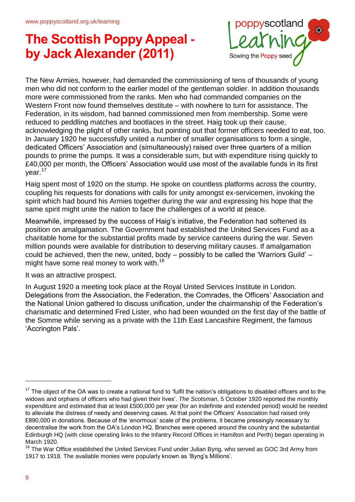

The New Armies, however, had demanded the commissioning of tens of thousands of young men who did not conform to the earlier model of the gentleman soldier. In addition thousands more were commissioned from the ranks. Men who had commanded companies on the Western Front now found themselves destitute – with nowhere to turn for assistance. The Federation, in its wisdom, had banned commissioned men from membership. Some were reduced to peddling matches and bootlaces in the street. Haig took up their cause, acknowledging the plight of other ranks, but pointing out that former officers needed to eat, too. In January 1920 he successfully united a number of smaller organisations to form a single, dedicated Officers' Association and (simultaneously) raised over three quarters of a million pounds to prime the pumps. It was a considerable sum, but with expenditure rising quickly to £40,000 per month, the Officers' Association would use most of the available funds in its first year.<sup>17</sup>

Haig spent most of 1920 on the stump. He spoke on countless platforms across the country, coupling his requests for donations with calls for unity amongst ex-servicemen, invoking the spirit which had bound his Armies together during the war and expressing his hope that the same spirit might unite the nation to face the challenges of a world at peace.

Meanwhile, impressed by the success of Haig's initiative, the Federation had softened its position on amalgamation. The Government had established the United Services Fund as a charitable home for the substantial profits made by service canteens during the war. Seven million pounds were available for distribution to deserving military causes. If amalgamation could be achieved, then the new, united, body – possibly to be called the 'Warriors Guild' – might have some real money to work with.<sup>18</sup>

It was an attractive prospect.

In August 1920 a meeting took place at the Royal United Services Institute in London. Delegations from the Association, the Federation, the Comrades, the Officers' Association and the National Union gathered to discuss unification, under the chairmanship of the Federation's charismatic and determined Fred Lister, who had been wounded on the first day of the battle of the Somme while serving as a private with the 11th East Lancashire Regiment, the famous 'Accrington Pals'.

 $17$  The object of the OA was to create a national fund to 'fulfil the nation's obligations to disabled officers and to the widows and orphans of officers who had given their lives'. *The Scotsman*, 5 October 1920 reported the monthly expenditure and estimated that at least £500,000 per year (for an indefinite and extended period) would be needed to alleviate the distress of needy and deserving cases. At that point the Officers' Association had raised only £890,000 in donations. Because of the 'enormous' scale of the problems, it became pressingly necessary to decentralise the work from the OA's London HQ. Branches were opened around the country and the substantial Edinburgh HQ (with close operating links to the Infantry Record Offices in Hamilton and Perth) began operating in March 1920.

<sup>&</sup>lt;sup>18</sup> The War Office established the United Services Fund under Julian Byng, who served as GOC 3rd Army from 1917 to 1918. The available monies were popularly known as 'Byng's Millions'.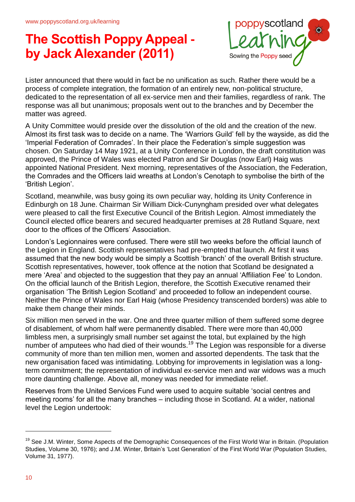

Lister announced that there would in fact be no unification as such. Rather there would be a process of complete integration, the formation of an entirely new, non-political structure, dedicated to the representation of all ex-service men and their families, regardless of rank. The response was all but unanimous; proposals went out to the branches and by December the matter was agreed.

A Unity Committee would preside over the dissolution of the old and the creation of the new. Almost its first task was to decide on a name. The 'Warriors Guild' fell by the wayside, as did the 'Imperial Federation of Comrades'. In their place the Federation's simple suggestion was chosen. On Saturday 14 May 1921, at a Unity Conference in London, the draft constitution was approved, the Prince of Wales was elected Patron and Sir Douglas (now Earl) Haig was appointed National President. Next morning, representatives of the Association, the Federation, the Comrades and the Officers laid wreaths at London's Cenotaph to symbolise the birth of the 'British Legion'.

Scotland, meanwhile, was busy going its own peculiar way, holding its Unity Conference in Edinburgh on 18 June. Chairman Sir William Dick-Cunyngham presided over what delegates were pleased to call the first Executive Council of the British Legion. Almost immediately the Council elected office bearers and secured headquarter premises at 28 Rutland Square, next door to the offices of the Officers' Association.

London's Legionnaires were confused. There were still two weeks before the official launch of the Legion in England. Scottish representatives had pre-empted that launch. At first it was assumed that the new body would be simply a Scottish 'branch' of the overall British structure. Scottish representatives, however, took offence at the notion that Scotland be designated a mere 'Area' and objected to the suggestion that they pay an annual 'Affiliation Fee' to London. On the official launch of the British Legion, therefore, the Scottish Executive renamed their organisation 'The British Legion Scotland' and proceeded to follow an independent course. Neither the Prince of Wales nor Earl Haig (whose Presidency transcended borders) was able to make them change their minds.

Six million men served in the war. One and three quarter million of them suffered some degree of disablement, of whom half were permanently disabled. There were more than 40,000 limbless men, a surprisingly small number set against the total, but explained by the high number of amputees who had died of their wounds.<sup>19</sup> The Legion was responsible for a diverse community of more than ten million men, women and assorted dependents. The task that the new organisation faced was intimidating. Lobbying for improvements in legislation was a longterm commitment; the representation of individual ex-service men and war widows was a much more daunting challenge. Above all, money was needed for immediate relief.

Reserves from the United Services Fund were used to acquire suitable 'social centres and meeting rooms' for all the many branches – including those in Scotland. At a wider, national level the Legion undertook:

<sup>&</sup>lt;sup>19</sup> See J.M. Winter, Some Aspects of the Demographic Consequences of the First World War in Britain. (Population Studies, Volume 30, 1976); and J.M. Winter, Britain's 'Lost Generation' of the First World War (Population Studies, Volume 31, 1977).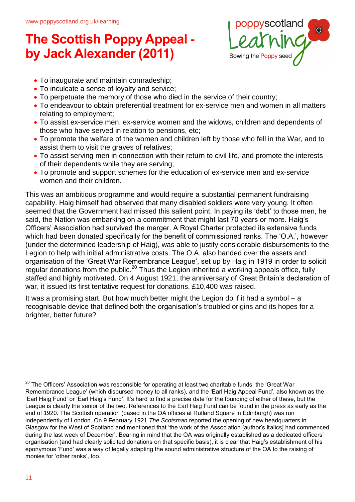

- To inaugurate and maintain comradeship;
- To inculcate a sense of loyalty and service;
- To perpetuate the memory of those who died in the service of their country;
- To endeavour to obtain preferential treatment for ex-service men and women in all matters relating to employment;
- To assist ex-service men, ex-service women and the widows, children and dependents of those who have served in relation to pensions, etc;
- To promote the welfare of the women and children left by those who fell in the War, and to assist them to visit the graves of relatives;
- To assist serving men in connection with their return to civil life, and promote the interests of their dependents while they are serving;
- To promote and support schemes for the education of ex-service men and ex-service women and their children.

This was an ambitious programme and would require a substantial permanent fundraising capability. Haig himself had observed that many disabled soldiers were very young. It often seemed that the Government had missed this salient point. In paying its 'debt' to those men, he said, the Nation was embarking on a commitment that might last 70 years or more. Haig's Officers' Association had survived the merger. A Royal Charter protected its extensive funds which had been donated specifically for the benefit of commissioned ranks. The 'O.A.', however (under the determined leadership of Haig), was able to justify considerable disbursements to the Legion to help with initial administrative costs. The O.A. also handed over the assets and organisation of the 'Great War Remembrance League', set up by Haig in 1919 in order to solicit regular donations from the public.<sup>20</sup> Thus the Legion inherited a working appeals office, fully staffed and highly motivated. On 4 August 1921, the anniversary of Great Britain's declaration of war, it issued its first tentative request for donations. £10,400 was raised.

It was a promising start. But how much better might the Legion do if it had a symbol – a recognisable device that defined both the organisation's troubled origins and its hopes for a brighter, better future?

 $20$  The Officers' Association was responsible for operating at least two charitable funds: the 'Great War Remembrance League' (which disbursed money to all ranks), and the 'Earl Haig Appeal Fund', also known as the 'Earl Haig Fund' or 'Earl Haig's Fund'. It's hard to find a precise date for the founding of either of these, but the League is clearly the senior of the two. References to the Earl Haig Fund can be found in the press as early as the end of 1920. The Scottish operation (based in the OA offices at Rutland Square in Edinburgh) was run independently of London. On 9 February 1921 *The Scotsman* reported the opening of new headquarters in Glasgow for the West of Scotland and mentioned that 'the work of the Association [author's italics] had commenced during the last week of December'. Bearing in mind that the OA was originally established as a dedicated officers' organisation (and had clearly solicited donations on that specific basis), it is clear that Haig's establishment of his eponymous 'Fund' was a way of legally adapting the sound administrative structure of the OA to the raising of monies for 'other ranks', too.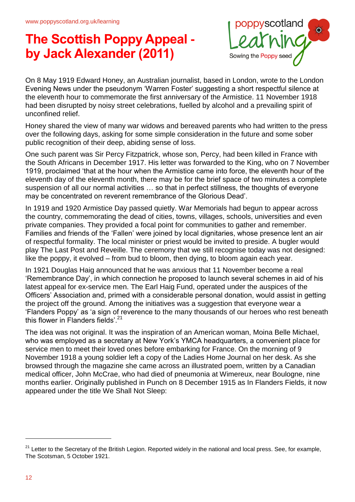

On 8 May 1919 Edward Honey, an Australian journalist, based in London, wrote to the London Evening News under the pseudonym 'Warren Foster' suggesting a short respectful silence at the eleventh hour to commemorate the first anniversary of the Armistice. 11 November 1918 had been disrupted by noisy street celebrations, fuelled by alcohol and a prevailing spirit of unconfined relief.

Honey shared the view of many war widows and bereaved parents who had written to the press over the following days, asking for some simple consideration in the future and some sober public recognition of their deep, abiding sense of loss.

One such parent was Sir Percy Fitzpatrick, whose son, Percy, had been killed in France with the South Africans in December 1917. His letter was forwarded to the King, who on 7 November 1919, proclaimed 'that at the hour when the Armistice came into force, the eleventh hour of the eleventh day of the eleventh month, there may be for the brief space of two minutes a complete suspension of all our normal activities … so that in perfect stillness, the thoughts of everyone may be concentrated on reverent remembrance of the Glorious Dead'.

In 1919 and 1920 Armistice Day passed quietly. War Memorials had begun to appear across the country, commemorating the dead of cities, towns, villages, schools, universities and even private companies. They provided a focal point for communities to gather and remember. Families and friends of the 'Fallen' were joined by local dignitaries, whose presence lent an air of respectful formality. The local minister or priest would be invited to preside. A bugler would play The Last Post and Reveille. The ceremony that we still recognise today was not designed: like the poppy, it evolved – from bud to bloom, then dying, to bloom again each year.

In 1921 Douglas Haig announced that he was anxious that 11 November become a real 'Remembrance Day', in which connection he proposed to launch several schemes in aid of his latest appeal for ex-service men. The Earl Haig Fund, operated under the auspices of the Officers' Association and, primed with a considerable personal donation, would assist in getting the project off the ground. Among the initiatives was a suggestion that everyone wear a 'Flanders Poppy' as 'a sign of reverence to the many thousands of our heroes who rest beneath this flower in Flanders fields'. $21$ 

The idea was not original. It was the inspiration of an American woman, Moina Belle Michael, who was employed as a secretary at New York's YMCA headquarters, a convenient place for service men to meet their loved ones before embarking for France. On the morning of 9 November 1918 a young soldier left a copy of the Ladies Home Journal on her desk. As she browsed through the magazine she came across an illustrated poem, written by a Canadian medical officer, John McCrae, who had died of pneumonia at Wimereux, near Boulogne, nine months earlier. Originally published in Punch on 8 December 1915 as In Flanders Fields, it now appeared under the title We Shall Not Sleep:

 $21$  Letter to the Secretary of the British Legion. Reported widely in the national and local press. See, for example, The Scotsman, 5 October 1921.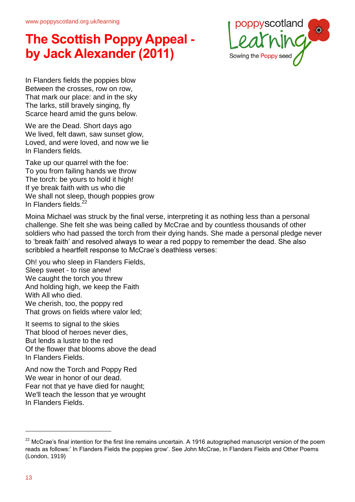

In Flanders fields the poppies blow Between the crosses, row on row, That mark our place: and in the sky The larks, still bravely singing, fly Scarce heard amid the guns below.

We are the Dead. Short days ago We lived, felt dawn, saw sunset glow, Loved, and were loved, and now we lie In Flanders fields.

Take up our quarrel with the foe: To you from failing hands we throw The torch: be yours to hold it high! If ye break faith with us who die We shall not sleep, though poppies grow In Flanders fields. $^{2}$ 

Moina Michael was struck by the final verse, interpreting it as nothing less than a personal challenge. She felt she was being called by McCrae and by countless thousands of other soldiers who had passed the torch from their dying hands. She made a personal pledge never to 'break faith' and resolved always to wear a red poppy to remember the dead. She also scribbled a heartfelt response to McCrae's deathless verses:

Oh! you who sleep in Flanders Fields, Sleep sweet - to rise anew! We caught the torch you threw And holding high, we keep the Faith With All who died. We cherish, too, the poppy red That grows on fields where valor led;

It seems to signal to the skies That blood of heroes never dies, But lends a lustre to the red Of the flower that blooms above the dead In Flanders Fields.

And now the Torch and Poppy Red We wear in honor of our dead. Fear not that ye have died for naught; We'll teach the lesson that ye wrought In Flanders Fields.

 $^{22}$  McCrae's final intention for the first line remains uncertain. A 1916 autographed manuscript version of the poem reads as follows:' In Flanders Fields the poppies grow'. See John McCrae, In Flanders Fields and Other Poems (London, 1919)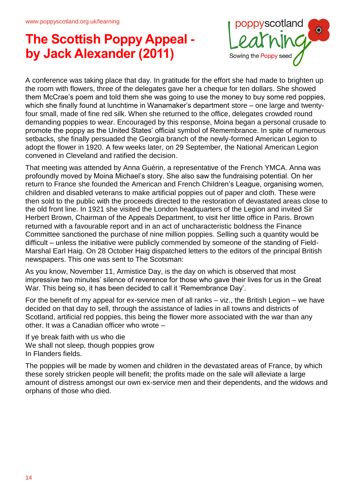

A conference was taking place that day. In gratitude for the effort she had made to brighten up the room with flowers, three of the delegates gave her a cheque for ten dollars. She showed them McCrae's poem and told them she was going to use the money to buy some red poppies, which she finally found at lunchtime in Wanamaker's department store – one large and twentyfour small, made of fine red silk. When she returned to the office, delegates crowded round demanding poppies to wear. Encouraged by this response, Moina began a personal crusade to promote the poppy as the United States' official symbol of Remembrance. In spite of numerous setbacks, she finally persuaded the Georgia branch of the newly-formed American Legion to adopt the flower in 1920. A few weeks later, on 29 September, the National American Legion convened in Cleveland and ratified the decision.

That meeting was attended by Anna Guérin, a representative of the French YMCA. Anna was profoundly moved by Moina Michael's story. She also saw the fundraising potential. On her return to France she founded the American and French Children's League, organising women, children and disabled veterans to make artificial poppies out of paper and cloth. These were then sold to the public with the proceeds directed to the restoration of devastated areas close to the old front line. In 1921 she visited the London headquarters of the Legion and invited Sir Herbert Brown, Chairman of the Appeals Department, to visit her little office in Paris. Brown returned with a favourable report and in an act of uncharacteristic boldness the Finance Committee sanctioned the purchase of nine million poppies. Selling such a quantity would be difficult – unless the initiative were publicly commended by someone of the standing of Field-Marshal Earl Haig. On 28 October Haig dispatched letters to the editors of the principal British newspapers. This one was sent to The Scotsman:

As you know, November 11, Armistice Day, is the day on which is observed that most impressive two minutes' silence of reverence for those who gave their lives for us in the Great War. This being so, it has been decided to call it 'Remembrance Day'.

For the benefit of my appeal for ex-service men of all ranks – viz., the British Legion – we have decided on that day to sell, through the assistance of ladies in all towns and districts of Scotland, artificial red poppies, this being the flower more associated with the war than any other. It was a Canadian officer who wrote –

If ye break faith with us who die We shall not sleep, though poppies grow In Flanders fields.

The poppies will be made by women and children in the devastated areas of France, by which these sorely stricken people will benefit; the profits made on the sale will alleviate a large amount of distress amongst our own ex-service men and their dependents, and the widows and orphans of those who died.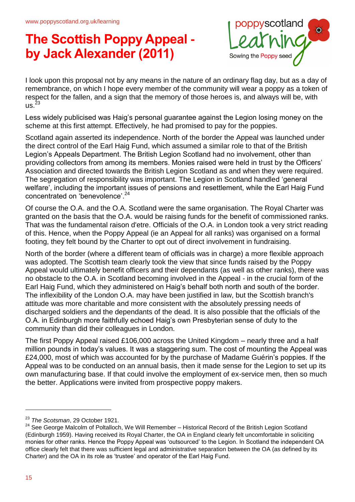

I look upon this proposal not by any means in the nature of an ordinary flag day, but as a day of remembrance, on which I hope every member of the community will wear a poppy as a token of respect for the fallen, and a sign that the memory of those heroes is, and always will be, with  $\overline{115}^{23}$ 

Less widely publicised was Haig's personal guarantee against the Legion losing money on the scheme at this first attempt. Effectively, he had promised to pay for the poppies.

Scotland again asserted its independence. North of the border the Appeal was launched under the direct control of the Earl Haig Fund, which assumed a similar role to that of the British Legion's Appeals Department. The British Legion Scotland had no involvement, other than providing collectors from among its members. Monies raised were held in trust by the Officers' Association and directed towards the British Legion Scotland as and when they were required. The segregation of responsibility was important. The Legion in Scotland handled 'general welfare', including the important issues of pensions and resettlement, while the Earl Haig Fund concentrated on 'benevolence'.<sup>24</sup>

Of course the O.A. and the O.A. Scotland were the same organisation. The Royal Charter was granted on the basis that the O.A. would be raising funds for the benefit of commissioned ranks. That was the fundamental raison d'etre. Officials of the O.A. in London took a very strict reading of this. Hence, when the Poppy Appeal (ie an Appeal for all ranks) was organised on a formal footing, they felt bound by the Charter to opt out of direct involvement in fundraising.

North of the border (where a different team of officials was in charge) a more flexible approach was adopted. The Scottish team clearly took the view that since funds raised by the Poppy Appeal would ultimately benefit officers and their dependants (as well as other ranks), there was no obstacle to the O.A. in Scotland becoming involved in the Appeal - in the crucial form of the Earl Haig Fund, which they administered on Haig's behalf both north and south of the border. The inflexibility of the London O.A. may have been justified in law, but the Scottish branch's attitude was more charitable and more consistent with the absolutely pressing needs of discharged soldiers and the dependants of the dead. It is also possible that the officials of the O.A. in Edinburgh more faithfully echoed Haig's own Presbyterian sense of duty to the community than did their colleagues in London.

The first Poppy Appeal raised £106,000 across the United Kingdom – nearly three and a half million pounds in today's values. It was a staggering sum. The cost of mounting the Appeal was £24,000, most of which was accounted for by the purchase of Madame Guérin's poppies. If the Appeal was to be conducted on an annual basis, then it made sense for the Legion to set up its own manufacturing base. If that could involve the employment of ex-service men, then so much the better. Applications were invited from prospective poppy makers.

<sup>23</sup> *The Scotsman*, 29 October 1921.

 $24$  See George Malcolm of Poltalloch, We Will Remember – Historical Record of the British Legion Scotland (Edinburgh 1959). Having received its Royal Charter, the OA in England clearly felt uncomfortable in soliciting monies for other ranks. Hence the Poppy Appeal was 'outsourced' to the Legion. In Scotland the independent OA office clearly felt that there was sufficient legal and administrative separation between the OA (as defined by its Charter) and the OA in its role as 'trustee' and operator of the Earl Haig Fund.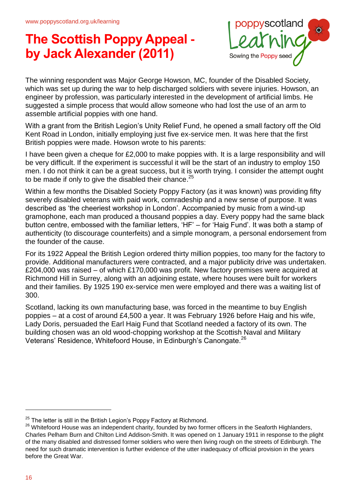

The winning respondent was Major George Howson, MC, founder of the Disabled Society, which was set up during the war to help discharged soldiers with severe injuries. Howson, an engineer by profession, was particularly interested in the development of artificial limbs. He suggested a simple process that would allow someone who had lost the use of an arm to assemble artificial poppies with one hand.

With a grant from the British Legion's Unity Relief Fund, he opened a small factory off the Old Kent Road in London, initially employing just five ex-service men. It was here that the first British poppies were made. Howson wrote to his parents:

I have been given a cheque for £2,000 to make poppies with. It is a large responsibility and will be very difficult. If the experiment is successful it will be the start of an industry to employ 150 men. I do not think it can be a great success, but it is worth trying. I consider the attempt ought to be made if only to give the disabled their chance.<sup>25</sup>

Within a few months the Disabled Society Poppy Factory (as it was known) was providing fifty severely disabled veterans with paid work, comradeship and a new sense of purpose. It was described as 'the cheeriest workshop in London'. Accompanied by music from a wind-up gramophone, each man produced a thousand poppies a day. Every poppy had the same black button centre, embossed with the familiar letters, 'HF' – for 'Haig Fund'. It was both a stamp of authenticity (to discourage counterfeits) and a simple monogram, a personal endorsement from the founder of the cause.

For its 1922 Appeal the British Legion ordered thirty million poppies, too many for the factory to provide. Additional manufacturers were contracted, and a major publicity drive was undertaken. £204,000 was raised – of which £170,000 was profit. New factory premises were acquired at Richmond Hill in Surrey, along with an adjoining estate, where houses were built for workers and their families. By 1925 190 ex-service men were employed and there was a waiting list of 300.

Scotland, lacking its own manufacturing base, was forced in the meantime to buy English poppies – at a cost of around £4,500 a year. It was February 1926 before Haig and his wife, Lady Doris, persuaded the Earl Haig Fund that Scotland needed a factory of its own. The building chosen was an old wood-chopping workshop at the Scottish Naval and Military Veterans' Residence, Whitefoord House, in Edinburgh's Canongate.<sup>26</sup>

 $25$  The letter is still in the British Legion's Poppy Factory at Richmond.

<sup>&</sup>lt;sup>26</sup> Whitefoord House was an independent charity, founded by two former officers in the Seaforth Highlanders, Charles Pelham Burn and Chilton Lind Addison-Smith. It was opened on 1 January 1911 in response to the plight of the many disabled and distressed former soldiers who were then living rough on the streets of Edinburgh. The need for such dramatic intervention is further evidence of the utter inadequacy of official provision in the years before the Great War.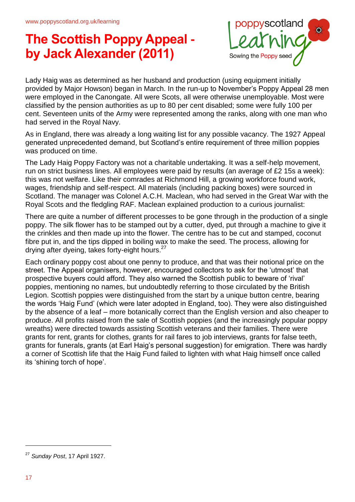

Lady Haig was as determined as her husband and production (using equipment initially provided by Major Howson) began in March. In the run-up to November's Poppy Appeal 28 men were employed in the Canongate. All were Scots, all were otherwise unemployable. Most were classified by the pension authorities as up to 80 per cent disabled; some were fully 100 per cent. Seventeen units of the Army were represented among the ranks, along with one man who had served in the Royal Navy.

As in England, there was already a long waiting list for any possible vacancy. The 1927 Appeal generated unprecedented demand, but Scotland's entire requirement of three million poppies was produced on time.

The Lady Haig Poppy Factory was not a charitable undertaking. It was a self-help movement, run on strict business lines. All employees were paid by results (an average of £2 15s a week): this was not welfare. Like their comrades at Richmond Hill, a growing workforce found work, wages, friendship and self-respect. All materials (including packing boxes) were sourced in Scotland. The manager was Colonel A.C.H. Maclean, who had served in the Great War with the Royal Scots and the fledgling RAF. Maclean explained production to a curious journalist:

There are quite a number of different processes to be gone through in the production of a single poppy. The silk flower has to be stamped out by a cutter, dyed, put through a machine to give it the crinkles and then made up into the flower. The centre has to be cut and stamped, coconut fibre put in, and the tips dipped in boiling wax to make the seed. The process, allowing for drying after dyeing, takes forty-eight hours.<sup>27</sup>

Each ordinary poppy cost about one penny to produce, and that was their notional price on the street. The Appeal organisers, however, encouraged collectors to ask for the 'utmost' that prospective buyers could afford. They also warned the Scottish public to beware of 'rival' poppies, mentioning no names, but undoubtedly referring to those circulated by the British Legion. Scottish poppies were distinguished from the start by a unique button centre, bearing the words 'Haig Fund' (which were later adopted in England, too). They were also distinguished by the absence of a leaf – more botanically correct than the English version and also cheaper to produce. All profits raised from the sale of Scottish poppies (and the increasingly popular poppy wreaths) were directed towards assisting Scottish veterans and their families. There were grants for rent, grants for clothes, grants for rail fares to job interviews, grants for false teeth, grants for funerals, grants (at Earl Haig's personal suggestion) for emigration. There was hardly a corner of Scottish life that the Haig Fund failed to lighten with what Haig himself once called its 'shining torch of hope'.

<sup>27</sup> *Sunday Post*, 17 April 1927.